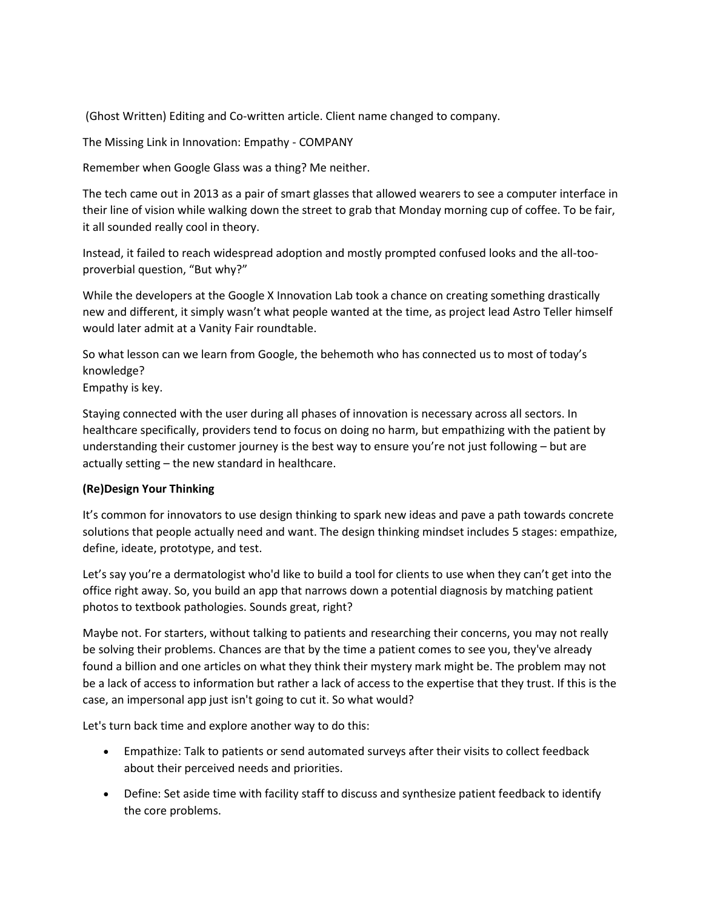(Ghost Written) Editing and Co-written article. Client name changed to company.

The Missing Link in Innovation: Empathy - COMPANY

Remember when Google Glass was a thing? Me neither.

The tech came out in 2013 as a pair of smart glasses that allowed wearers to see a computer interface in their line of vision while walking down the street to grab that Monday morning cup of coffee. To be fair, it all sounded really cool in theory.

Instead, it failed to reach widespread adoption and mostly prompted confused looks and the all-tooproverbial question, "But why?"

While the developers at the Google X Innovation Lab took a chance on creating something drastically new and different, it simply wasn't what people wanted at the time, as project lead Astro Teller himself would later admit at a Vanity Fair roundtable.

So what lesson can we learn from Google, the behemoth who has connected us to most of today's knowledge?

Empathy is key.

Staying connected with the user during all phases of innovation is necessary across all sectors. In healthcare specifically, providers tend to focus on doing no harm, but empathizing with the patient by understanding their customer journey is the best way to ensure you're not just following – but are actually setting – the new standard in healthcare.

# **(Re)Design Your Thinking**

It's common for innovators to use design thinking to spark new ideas and pave a path towards concrete solutions that people actually need and want. The design thinking mindset includes 5 stages: empathize, define, ideate, prototype, and test.

Let's say you're a dermatologist who'd like to build a tool for clients to use when they can't get into the office right away. So, you build an app that narrows down a potential diagnosis by matching patient photos to textbook pathologies. Sounds great, right?

Maybe not. For starters, without talking to patients and researching their concerns, you may not really be solving their problems. Chances are that by the time a patient comes to see you, they've already found a billion and one articles on what they think their mystery mark might be. The problem may not be a lack of access to information but rather a lack of access to the expertise that they trust. If this is the case, an impersonal app just isn't going to cut it. So what would?

Let's turn back time and explore another way to do this:

- Empathize: Talk to patients or send automated surveys after their visits to collect feedback about their perceived needs and priorities.
- Define: Set aside time with facility staff to discuss and synthesize patient feedback to identify the core problems.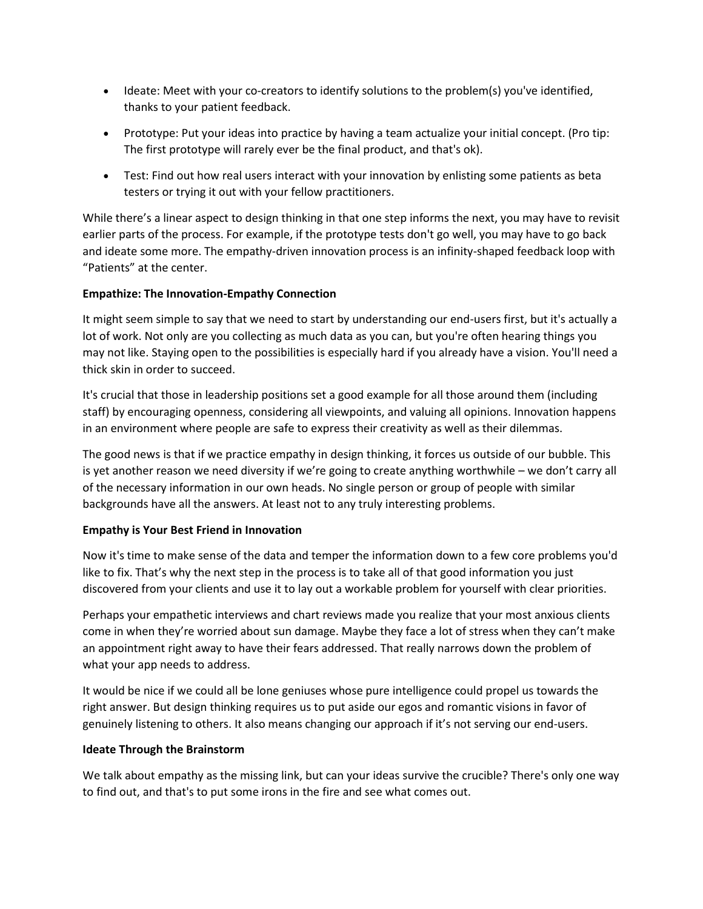- Ideate: Meet with your co-creators to identify solutions to the problem(s) you've identified, thanks to your patient feedback.
- Prototype: Put your ideas into practice by having a team actualize your initial concept. (Pro tip: The first prototype will rarely ever be the final product, and that's ok).
- Test: Find out how real users interact with your innovation by enlisting some patients as beta testers or trying it out with your fellow practitioners.

While there's a linear aspect to design thinking in that one step informs the next, you may have to revisit earlier parts of the process. For example, if the prototype tests don't go well, you may have to go back and ideate some more. The empathy-driven innovation process is an infinity-shaped feedback loop with "Patients" at the center.

# **Empathize: The Innovation-Empathy Connection**

It might seem simple to say that we need to start by understanding our end-users first, but it's actually a lot of work. Not only are you collecting as much data as you can, but you're often hearing things you may not like. Staying open to the possibilities is especially hard if you already have a vision. You'll need a thick skin in order to succeed.

It's crucial that those in leadership positions set a good example for all those around them (including staff) by encouraging openness, considering all viewpoints, and valuing all opinions. Innovation happens in an environment where people are safe to express their creativity as well as their dilemmas.

The good news is that if we practice empathy in design thinking, it forces us outside of our bubble. This is yet another reason we need diversity if we're going to create anything worthwhile – we don't carry all of the necessary information in our own heads. No single person or group of people with similar backgrounds have all the answers. At least not to any truly interesting problems.

## **Empathy is Your Best Friend in Innovation**

Now it's time to make sense of the data and temper the information down to a few core problems you'd like to fix. That's why the next step in the process is to take all of that good information you just discovered from your clients and use it to lay out a workable problem for yourself with clear priorities.

Perhaps your empathetic interviews and chart reviews made you realize that your most anxious clients come in when they're worried about sun damage. Maybe they face a lot of stress when they can't make an appointment right away to have their fears addressed. That really narrows down the problem of what your app needs to address.

It would be nice if we could all be lone geniuses whose pure intelligence could propel us towards the right answer. But design thinking requires us to put aside our egos and romantic visions in favor of genuinely listening to others. It also means changing our approach if it's not serving our end-users.

## **Ideate Through the Brainstorm**

We talk about empathy as the missing link, but can your ideas survive the crucible? There's only one way to find out, and that's to put some irons in the fire and see what comes out.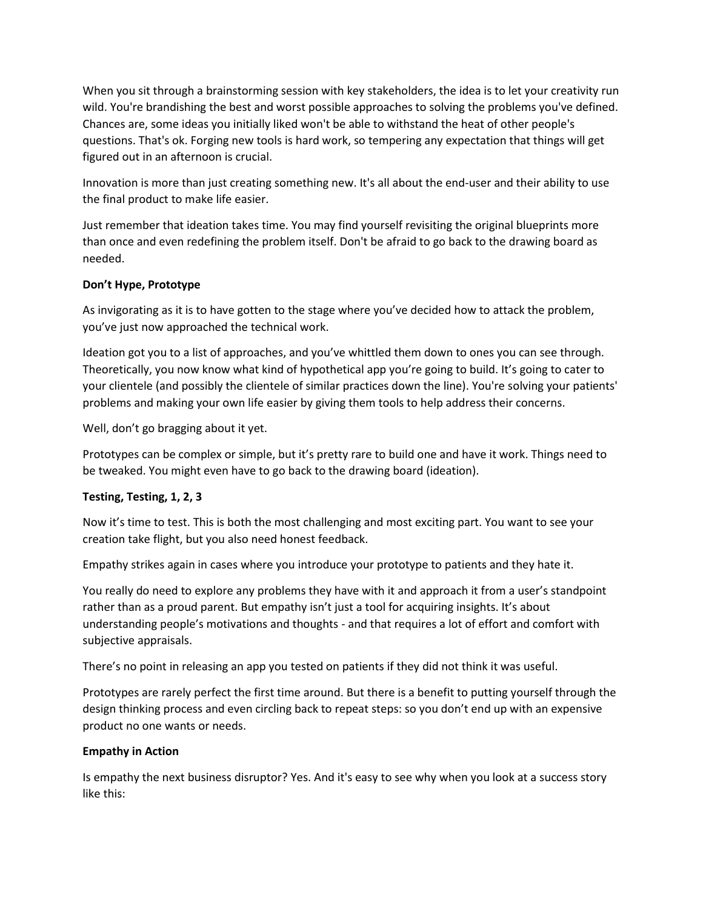When you sit through a brainstorming session with key stakeholders, the idea is to let your creativity run wild. You're brandishing the best and worst possible approaches to solving the problems you've defined. Chances are, some ideas you initially liked won't be able to withstand the heat of other people's questions. That's ok. Forging new tools is hard work, so tempering any expectation that things will get figured out in an afternoon is crucial.

Innovation is more than just creating something new. It's all about the end-user and their ability to use the final product to make life easier.

Just remember that ideation takes time. You may find yourself revisiting the original blueprints more than once and even redefining the problem itself. Don't be afraid to go back to the drawing board as needed.

## **Don't Hype, Prototype**

As invigorating as it is to have gotten to the stage where you've decided how to attack the problem, you've just now approached the technical work.

Ideation got you to a list of approaches, and you've whittled them down to ones you can see through. Theoretically, you now know what kind of hypothetical app you're going to build. It's going to cater to your clientele (and possibly the clientele of similar practices down the line). You're solving your patients' problems and making your own life easier by giving them tools to help address their concerns.

Well, don't go bragging about it yet.

Prototypes can be complex or simple, but it's pretty rare to build one and have it work. Things need to be tweaked. You might even have to go back to the drawing board (ideation).

# **Testing, Testing, 1, 2, 3**

Now it's time to test. This is both the most challenging and most exciting part. You want to see your creation take flight, but you also need honest feedback.

Empathy strikes again in cases where you introduce your prototype to patients and they hate it.

You really do need to explore any problems they have with it and approach it from a user's standpoint rather than as a proud parent. But empathy isn't just a tool for acquiring insights. It's about understanding people's motivations and thoughts - and that requires a lot of effort and comfort with subjective appraisals.

There's no point in releasing an app you tested on patients if they did not think it was useful.

Prototypes are rarely perfect the first time around. But there is a benefit to putting yourself through the design thinking process and even circling back to repeat steps: so you don't end up with an expensive product no one wants or needs.

## **Empathy in Action**

Is empathy the next business disruptor? Yes. And it's easy to see why when you look at a success story like this: